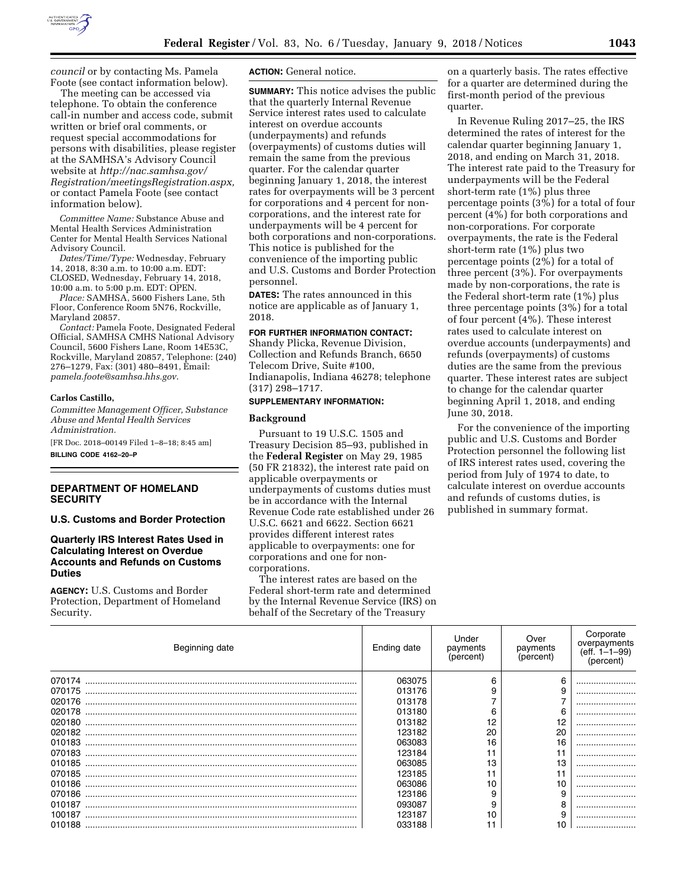

*[council](http://www.samhsa.gov/about-us/advisory-councils/cmhs-national-advisory-council)* or by contacting Ms. Pamela Foote (see contact information below).

The meeting can be accessed via telephone. To obtain the conference call-in number and access code, submit written or brief oral comments, or request special accommodations for persons with disabilities, please register at the SAMHSA's Advisory Council website at *[http://nac.samhsa.gov/](http://nac.samhsa.gov/Registration/meetingsRegistration.aspx)  [Registration/meetingsRegistration.aspx,](http://nac.samhsa.gov/Registration/meetingsRegistration.aspx)*  or contact Pamela Foote (see contact information below).

*Committee Name:* Substance Abuse and Mental Health Services Administration Center for Mental Health Services National Advisory Council.

*Dates/Time/Type:* Wednesday, February 14, 2018, 8:30 a.m. to 10:00 a.m. EDT: CLOSED, Wednesday, February 14, 2018, 10:00 a.m. to 5:00 p.m. EDT: OPEN.

*Place:* SAMHSA, 5600 Fishers Lane, 5th Floor, Conference Room 5N76, Rockville, Maryland 20857.

*Contact:* Pamela Foote, Designated Federal Official, SAMHSA CMHS National Advisory Council, 5600 Fishers Lane, Room 14E53C, Rockville, Maryland 20857, Telephone: (240) 276–1279, Fax: (301) 480–8491, Email: *[pamela.foote@samhsa.hhs.gov](mailto:pamela.foote@samhsa.hhs.gov)*.

#### **Carlos Castillo,**

*Committee Management Officer, Substance Abuse and Mental Health Services Administration.* 

[FR Doc. 2018–00149 Filed 1–8–18; 8:45 am] **BILLING CODE 4162–20–P** 

## **DEPARTMENT OF HOMELAND SECURITY**

**U.S. Customs and Border Protection** 

## **Quarterly IRS Interest Rates Used in Calculating Interest on Overdue Accounts and Refunds on Customs Duties**

**AGENCY:** U.S. Customs and Border Protection, Department of Homeland Security.

**ACTION:** General notice.

**SUMMARY:** This notice advises the public that the quarterly Internal Revenue Service interest rates used to calculate interest on overdue accounts (underpayments) and refunds (overpayments) of customs duties will remain the same from the previous quarter. For the calendar quarter beginning January 1, 2018, the interest rates for overpayments will be 3 percent for corporations and 4 percent for noncorporations, and the interest rate for underpayments will be 4 percent for both corporations and non-corporations. This notice is published for the convenience of the importing public and U.S. Customs and Border Protection personnel.

**DATES:** The rates announced in this notice are applicable as of January 1, 2018.

# **FOR FURTHER INFORMATION CONTACT:**

Shandy Plicka, Revenue Division, Collection and Refunds Branch, 6650 Telecom Drive, Suite #100, Indianapolis, Indiana 46278; telephone (317) 298–1717.

#### **SUPPLEMENTARY INFORMATION:**

### **Background**

Pursuant to 19 U.S.C. 1505 and Treasury Decision 85–93, published in the **Federal Register** on May 29, 1985 (50 FR 21832), the interest rate paid on applicable overpayments or underpayments of customs duties must be in accordance with the Internal Revenue Code rate established under 26 U.S.C. 6621 and 6622. Section 6621 provides different interest rates applicable to overpayments: one for corporations and one for noncorporations.

The interest rates are based on the Federal short-term rate and determined by the Internal Revenue Service (IRS) on behalf of the Secretary of the Treasury

on a quarterly basis. The rates effective for a quarter are determined during the first-month period of the previous quarter.

In Revenue Ruling 2017–25, the IRS determined the rates of interest for the calendar quarter beginning January 1, 2018, and ending on March 31, 2018. The interest rate paid to the Treasury for underpayments will be the Federal short-term rate (1%) plus three percentage points (3%) for a total of four percent (4%) for both corporations and non-corporations. For corporate overpayments, the rate is the Federal short-term rate (1%) plus two percentage points (2%) for a total of three percent (3%). For overpayments made by non-corporations, the rate is the Federal short-term rate (1%) plus three percentage points (3%) for a total of four percent (4%). These interest rates used to calculate interest on overdue accounts (underpayments) and refunds (overpayments) of customs duties are the same from the previous quarter. These interest rates are subject to change for the calendar quarter beginning April 1, 2018, and ending June 30, 2018.

For the convenience of the importing public and U.S. Customs and Border Protection personnel the following list of IRS interest rates used, covering the period from July of 1974 to date, to calculate interest on overdue accounts and refunds of customs duties, is published in summary format.

| Beginning date | Ending date | Under<br>payments<br>(percent) | Over<br>payments<br>(percent) | Corporate<br>overpayments<br>$(eff. 1-1-99)$<br>(percent) |
|----------------|-------------|--------------------------------|-------------------------------|-----------------------------------------------------------|
|                | 063075      | 6                              | 6                             |                                                           |
| 070175         | 013176      |                                |                               |                                                           |
| 020176         | 013178      |                                |                               |                                                           |
| 020178         | 013180      | ี                              | 6                             |                                                           |
| 020180         | 013182      | 12                             |                               |                                                           |
| 020182         | 123182      | 20                             | 20                            |                                                           |
| 010183         | 063083      | 16                             | 16                            |                                                           |
| 070183         | 123184      | 11                             |                               |                                                           |
| 010185         | 063085      | 13                             | 13                            |                                                           |
| 070185         | 123185      | 11                             |                               |                                                           |
| 010186         | 063086      | 10                             |                               |                                                           |
| 070186         | 123186      | 9                              |                               |                                                           |
| 010187         | 093087      | 9                              |                               |                                                           |
| 100187         | 123187      | 10                             |                               |                                                           |
|                | 033188      |                                | 10                            |                                                           |